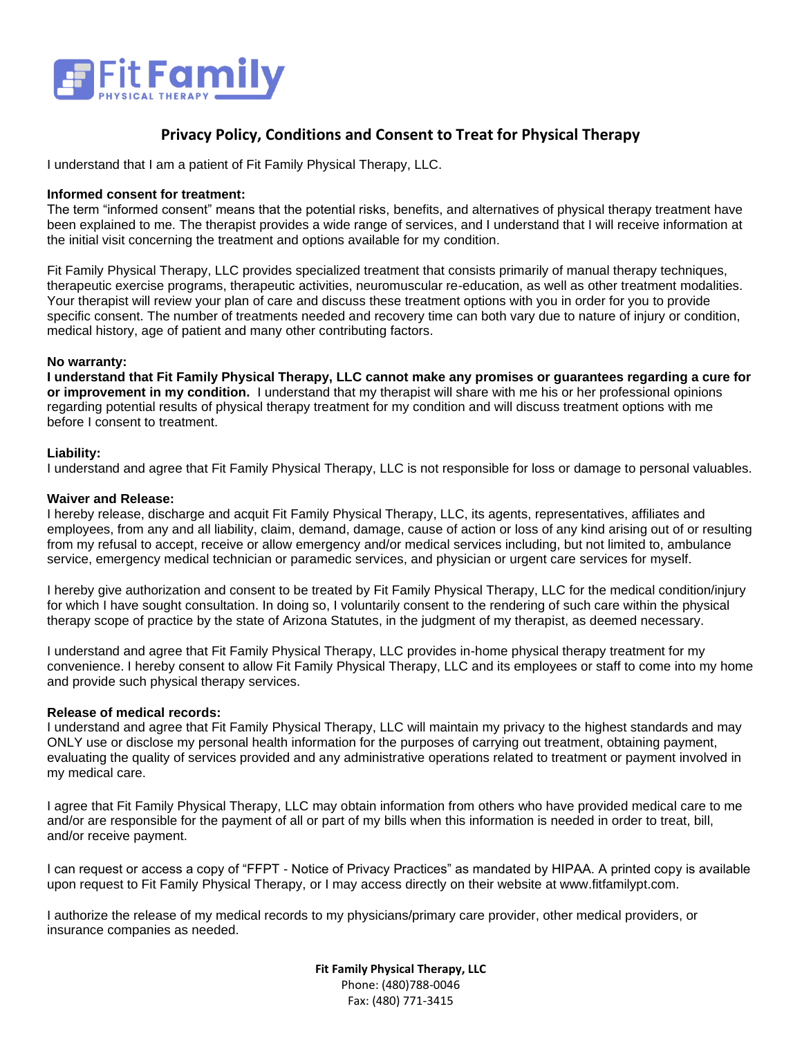

### **Privacy Policy, Conditions and Consent to Treat for Physical Therapy**

I understand that I am a patient of Fit Family Physical Therapy, LLC.

### **Informed consent for treatment:**

The term "informed consent" means that the potential risks, benefits, and alternatives of physical therapy treatment have been explained to me. The therapist provides a wide range of services, and I understand that I will receive information at the initial visit concerning the treatment and options available for my condition.

Fit Family Physical Therapy, LLC provides specialized treatment that consists primarily of manual therapy techniques, therapeutic exercise programs, therapeutic activities, neuromuscular re-education, as well as other treatment modalities. Your therapist will review your plan of care and discuss these treatment options with you in order for you to provide specific consent. The number of treatments needed and recovery time can both vary due to nature of injury or condition, medical history, age of patient and many other contributing factors.

#### **No warranty:**

**I understand that Fit Family Physical Therapy, LLC cannot make any promises or guarantees regarding a cure for or improvement in my condition.** I understand that my therapist will share with me his or her professional opinions regarding potential results of physical therapy treatment for my condition and will discuss treatment options with me before I consent to treatment.

#### **Liability:**

I understand and agree that Fit Family Physical Therapy, LLC is not responsible for loss or damage to personal valuables.

#### **Waiver and Release:**

I hereby release, discharge and acquit Fit Family Physical Therapy, LLC, its agents, representatives, affiliates and employees, from any and all liability, claim, demand, damage, cause of action or loss of any kind arising out of or resulting from my refusal to accept, receive or allow emergency and/or medical services including, but not limited to, ambulance service, emergency medical technician or paramedic services, and physician or urgent care services for myself.

I hereby give authorization and consent to be treated by Fit Family Physical Therapy, LLC for the medical condition/injury for which I have sought consultation. In doing so, I voluntarily consent to the rendering of such care within the physical therapy scope of practice by the state of Arizona Statutes, in the judgment of my therapist, as deemed necessary.

I understand and agree that Fit Family Physical Therapy, LLC provides in-home physical therapy treatment for my convenience. I hereby consent to allow Fit Family Physical Therapy, LLC and its employees or staff to come into my home and provide such physical therapy services.

### **Release of medical records:**

I understand and agree that Fit Family Physical Therapy, LLC will maintain my privacy to the highest standards and may ONLY use or disclose my personal health information for the purposes of carrying out treatment, obtaining payment, evaluating the quality of services provided and any administrative operations related to treatment or payment involved in my medical care.

I agree that Fit Family Physical Therapy, LLC may obtain information from others who have provided medical care to me and/or are responsible for the payment of all or part of my bills when this information is needed in order to treat, bill, and/or receive payment.

I can request or access a copy of "FFPT - Notice of Privacy Practices" as mandated by HIPAA. A printed copy is available upon request to Fit Family Physical Therapy, or I may access directly on their website at www.fitfamilypt.com.

I authorize the release of my medical records to my physicians/primary care provider, other medical providers, or insurance companies as needed.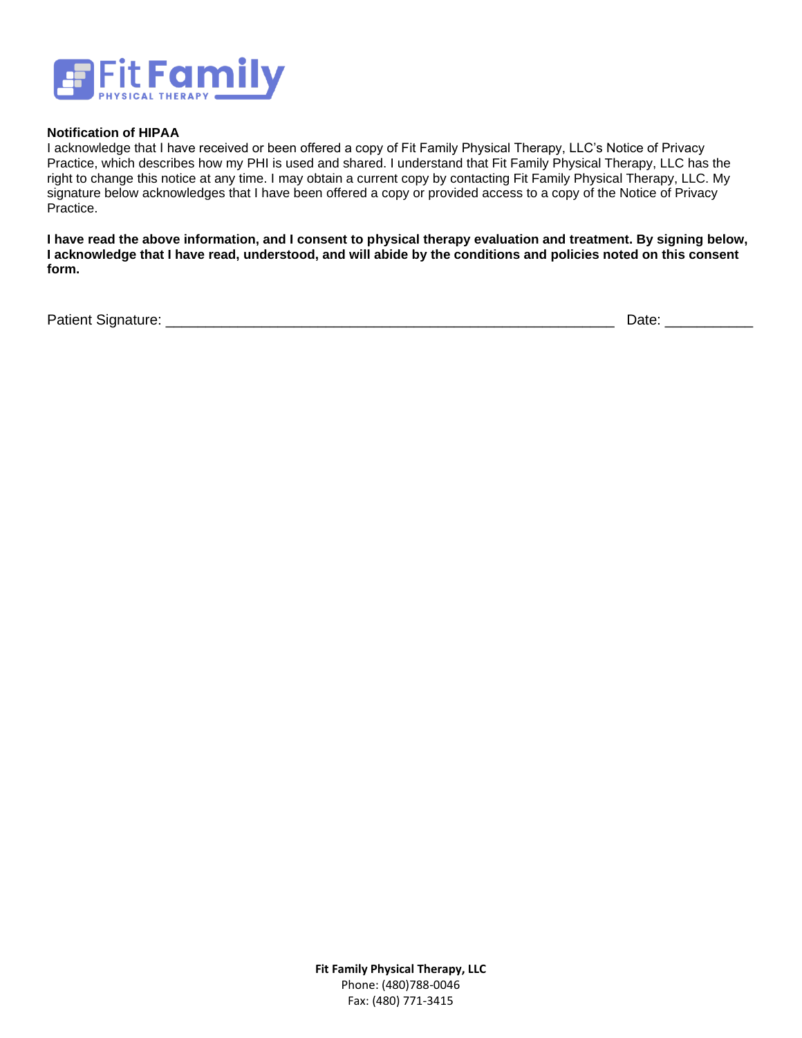

### **Notification of HIPAA**

I acknowledge that I have received or been offered a copy of Fit Family Physical Therapy, LLC's Notice of Privacy Practice, which describes how my PHI is used and shared. I understand that Fit Family Physical Therapy, LLC has the right to change this notice at any time. I may obtain a current copy by contacting Fit Family Physical Therapy, LLC. My signature below acknowledges that I have been offered a copy or provided access to a copy of the Notice of Privacy Practice.

**I have read the above information, and I consent to physical therapy evaluation and treatment. By signing below, I acknowledge that I have read, understood, and will abide by the conditions and policies noted on this consent form.**

Patient Signature: \_\_\_\_\_\_\_\_\_\_\_\_\_\_\_\_\_\_\_\_\_\_\_\_\_\_\_\_\_\_\_\_\_\_\_\_\_\_\_\_\_\_\_\_\_\_\_\_\_\_\_\_\_\_\_\_ Date: \_\_\_\_\_\_\_\_\_\_\_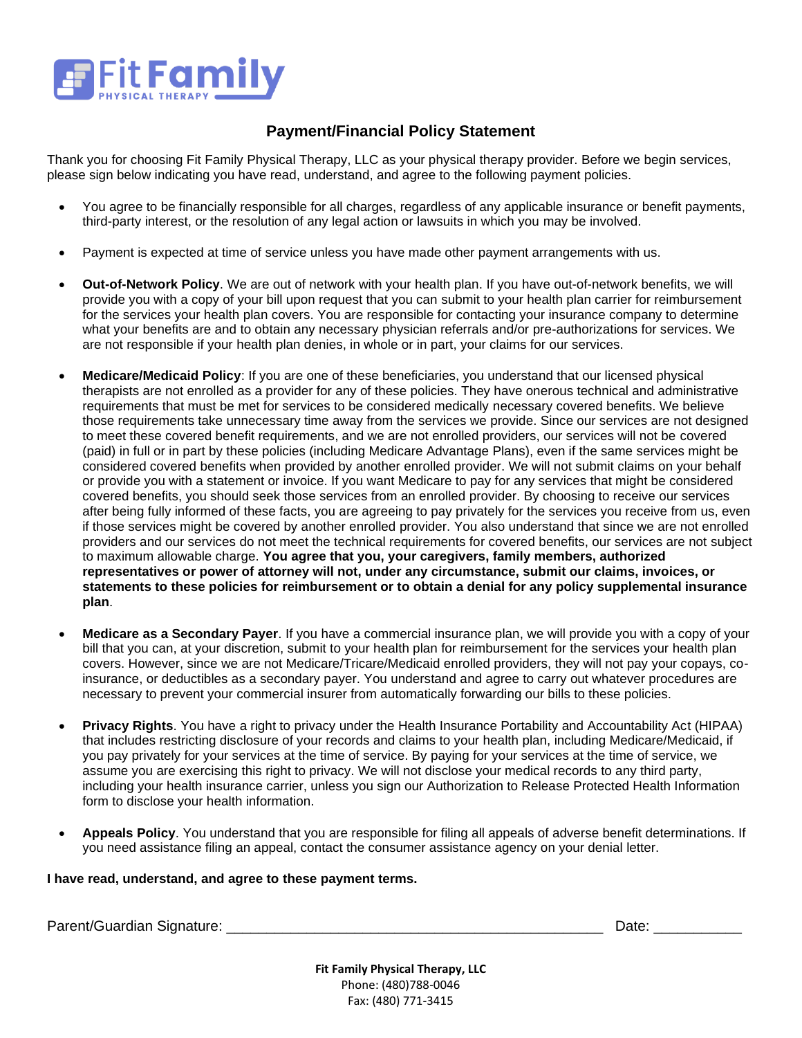

# **Payment/Financial Policy Statement**

Thank you for choosing Fit Family Physical Therapy, LLC as your physical therapy provider. Before we begin services, please sign below indicating you have read, understand, and agree to the following payment policies.

- You agree to be financially responsible for all charges, regardless of any applicable insurance or benefit payments, third-party interest, or the resolution of any legal action or lawsuits in which you may be involved.
- Payment is expected at time of service unless you have made other payment arrangements with us.
- **Out-of-Network Policy**. We are out of network with your health plan. If you have out-of-network benefits, we will provide you with a copy of your bill upon request that you can submit to your health plan carrier for reimbursement for the services your health plan covers. You are responsible for contacting your insurance company to determine what your benefits are and to obtain any necessary physician referrals and/or pre-authorizations for services. We are not responsible if your health plan denies, in whole or in part, your claims for our services.
- **Medicare/Medicaid Policy**: If you are one of these beneficiaries, you understand that our licensed physical therapists are not enrolled as a provider for any of these policies. They have onerous technical and administrative requirements that must be met for services to be considered medically necessary covered benefits. We believe those requirements take unnecessary time away from the services we provide. Since our services are not designed to meet these covered benefit requirements, and we are not enrolled providers, our services will not be covered (paid) in full or in part by these policies (including Medicare Advantage Plans), even if the same services might be considered covered benefits when provided by another enrolled provider. We will not submit claims on your behalf or provide you with a statement or invoice. If you want Medicare to pay for any services that might be considered covered benefits, you should seek those services from an enrolled provider. By choosing to receive our services after being fully informed of these facts, you are agreeing to pay privately for the services you receive from us, even if those services might be covered by another enrolled provider. You also understand that since we are not enrolled providers and our services do not meet the technical requirements for covered benefits, our services are not subject to maximum allowable charge. **You agree that you, your caregivers, family members, authorized representatives or power of attorney will not, under any circumstance, submit our claims, invoices, or statements to these policies for reimbursement or to obtain a denial for any policy supplemental insurance plan**.
- **Medicare as a Secondary Payer**. If you have a commercial insurance plan, we will provide you with a copy of your bill that you can, at your discretion, submit to your health plan for reimbursement for the services your health plan covers. However, since we are not Medicare/Tricare/Medicaid enrolled providers, they will not pay your copays, coinsurance, or deductibles as a secondary payer. You understand and agree to carry out whatever procedures are necessary to prevent your commercial insurer from automatically forwarding our bills to these policies.
- **Privacy Rights**. You have a right to privacy under the Health Insurance Portability and Accountability Act (HIPAA) that includes restricting disclosure of your records and claims to your health plan, including Medicare/Medicaid, if you pay privately for your services at the time of service. By paying for your services at the time of service, we assume you are exercising this right to privacy. We will not disclose your medical records to any third party, including your health insurance carrier, unless you sign our Authorization to Release Protected Health Information form to disclose your health information.
- **Appeals Policy**. You understand that you are responsible for filing all appeals of adverse benefit determinations. If you need assistance filing an appeal, contact the consumer assistance agency on your denial letter.

### **I have read, understand, and agree to these payment terms.**

Parent/Guardian Signature: \_\_\_\_\_\_\_\_\_\_\_\_\_\_\_\_\_\_\_\_\_\_\_\_\_\_\_\_\_\_\_\_\_\_\_\_\_\_\_\_\_\_\_\_\_\_\_ Date: \_\_\_\_\_\_\_\_\_\_\_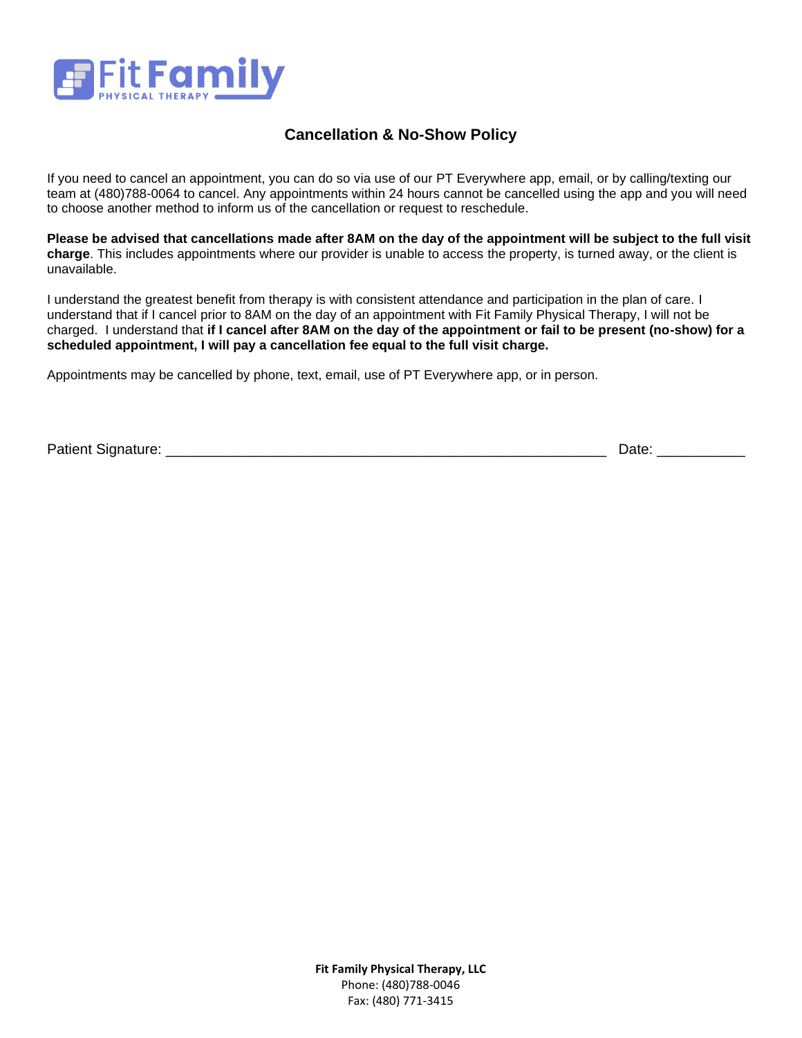

# **Cancellation & No-Show Policy**

If you need to cancel an appointment, you can do so via use of our PT Everywhere app, email, or by calling/texting our team at (480)788-0064 to cancel. Any appointments within 24 hours cannot be cancelled using the app and you will need to choose another method to inform us of the cancellation or request to reschedule.

**Please be advised that cancellations made after 8AM on the day of the appointment will be subject to the full visit charge**. This includes appointments where our provider is unable to access the property, is turned away, or the client is unavailable.

I understand the greatest benefit from therapy is with consistent attendance and participation in the plan of care. I understand that if I cancel prior to 8AM on the day of an appointment with Fit Family Physical Therapy, I will not be charged. I understand that **if I cancel after 8AM on the day of the appointment or fail to be present (no-show) for a scheduled appointment, I will pay a cancellation fee equal to the full visit charge.** 

Appointments may be cancelled by phone, text, email, use of PT Everywhere app, or in person.

Patient Signature: \_\_\_\_\_\_\_\_\_\_\_\_\_\_\_\_\_\_\_\_\_\_\_\_\_\_\_\_\_\_\_\_\_\_\_\_\_\_\_\_\_\_\_\_\_\_\_\_\_\_\_\_\_\_\_ Date: \_\_\_\_\_\_\_\_\_\_\_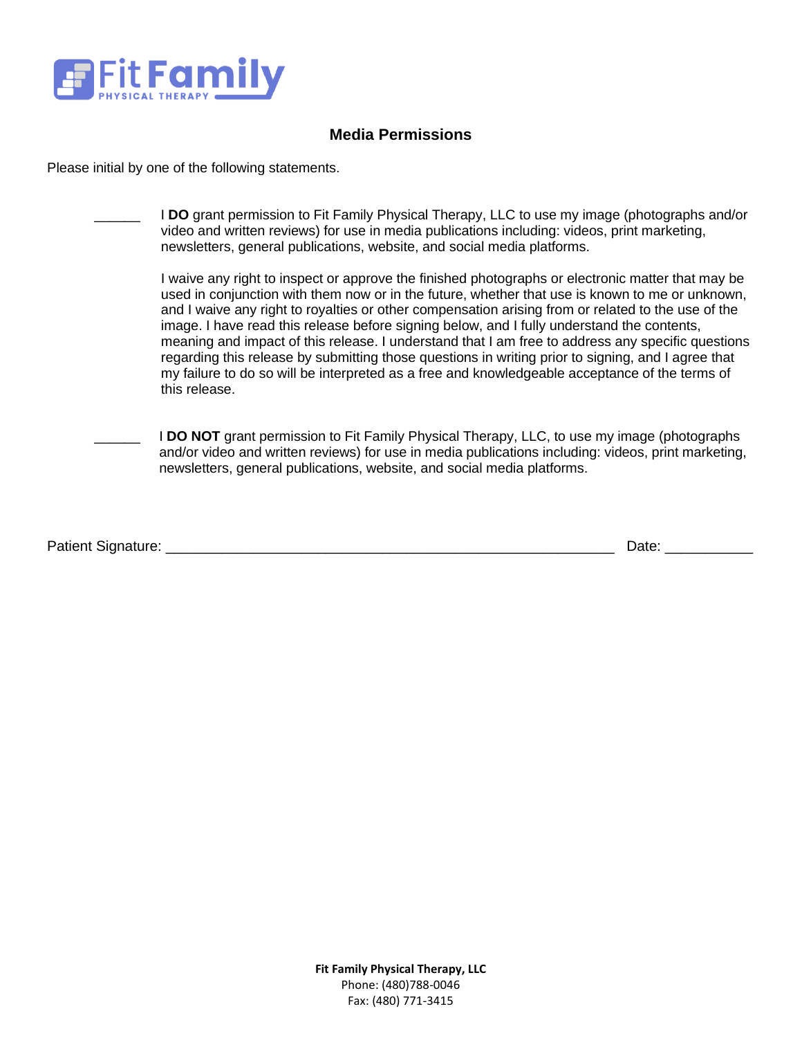

# **Media Permissions**

Please initial by one of the following statements.

| I DO grant permission to Fit Family Physical Therapy, LLC to use my image (photographs and/or<br>video and written reviews) for use in media publications including: videos, print marketing,<br>newsletters, general publications, website, and social media platforms.                                                                                                                                                                                                                                                                                                                                                                                                                                                               |
|----------------------------------------------------------------------------------------------------------------------------------------------------------------------------------------------------------------------------------------------------------------------------------------------------------------------------------------------------------------------------------------------------------------------------------------------------------------------------------------------------------------------------------------------------------------------------------------------------------------------------------------------------------------------------------------------------------------------------------------|
| I waive any right to inspect or approve the finished photographs or electronic matter that may be<br>used in conjunction with them now or in the future, whether that use is known to me or unknown,<br>and I waive any right to royalties or other compensation arising from or related to the use of the<br>image. I have read this release before signing below, and I fully understand the contents,<br>meaning and impact of this release. I understand that I am free to address any specific questions<br>regarding this release by submitting those questions in writing prior to signing, and I agree that<br>my failure to do so will be interpreted as a free and knowledgeable acceptance of the terms of<br>this release. |
| <b>I DO NOT</b> grant permission to Fit Family Physical Therapy, LLC, to use my image (photographs)<br>and/or video and written reviews) for use in media publications including: videos, print marketing,<br>newsletters, general publications, website, and social media platforms.                                                                                                                                                                                                                                                                                                                                                                                                                                                  |

Patient Signature: \_\_\_\_\_\_\_\_\_\_\_\_\_\_\_\_\_\_\_\_\_\_\_\_\_\_\_\_\_\_\_\_\_\_\_\_\_\_\_\_\_\_\_\_\_\_\_\_\_\_\_\_\_\_\_\_ Date: \_\_\_\_\_\_\_\_\_\_\_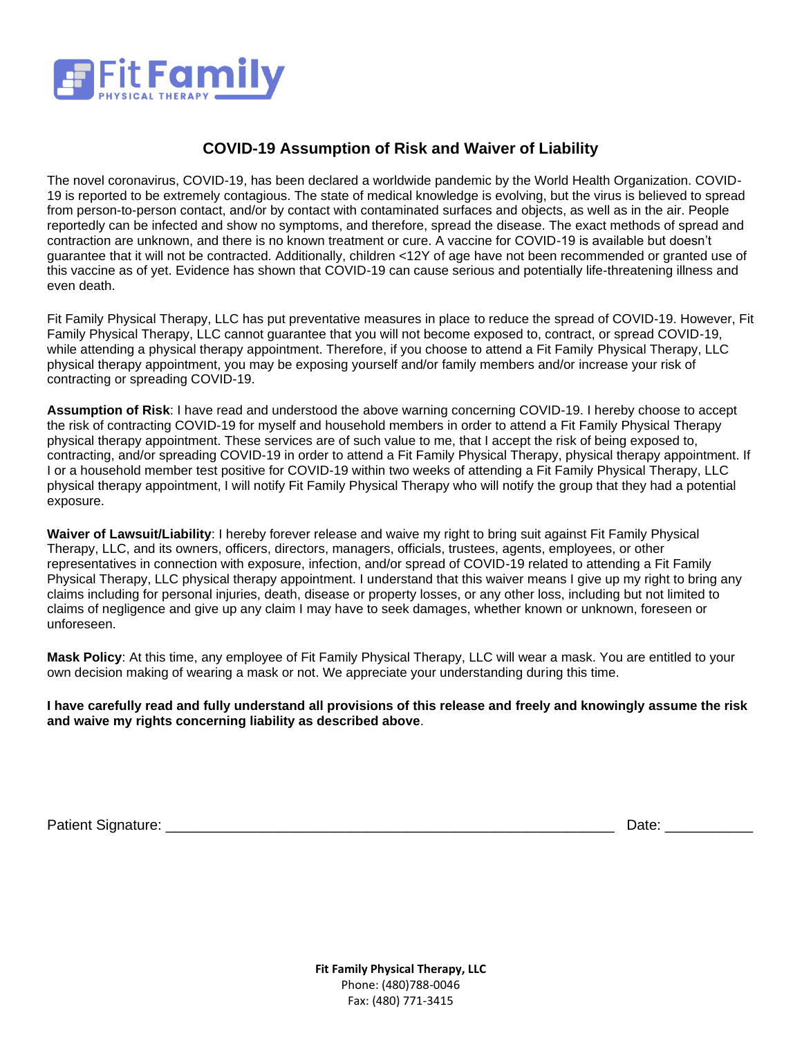

# **COVID-19 Assumption of Risk and Waiver of Liability**

The novel coronavirus, COVID-19, has been declared a worldwide pandemic by the World Health Organization. COVID-19 is reported to be extremely contagious. The state of medical knowledge is evolving, but the virus is believed to spread from person-to-person contact, and/or by contact with contaminated surfaces and objects, as well as in the air. People reportedly can be infected and show no symptoms, and therefore, spread the disease. The exact methods of spread and contraction are unknown, and there is no known treatment or cure. A vaccine for COVID-19 is available but doesn't guarantee that it will not be contracted. Additionally, children <12Y of age have not been recommended or granted use of this vaccine as of yet. Evidence has shown that COVID-19 can cause serious and potentially life-threatening illness and even death.

Fit Family Physical Therapy, LLC has put preventative measures in place to reduce the spread of COVID-19. However, Fit Family Physical Therapy, LLC cannot guarantee that you will not become exposed to, contract, or spread COVID-19, while attending a physical therapy appointment. Therefore, if you choose to attend a Fit Family Physical Therapy, LLC physical therapy appointment, you may be exposing yourself and/or family members and/or increase your risk of contracting or spreading COVID-19.

**Assumption of Risk**: I have read and understood the above warning concerning COVID-19. I hereby choose to accept the risk of contracting COVID-19 for myself and household members in order to attend a Fit Family Physical Therapy physical therapy appointment. These services are of such value to me, that I accept the risk of being exposed to, contracting, and/or spreading COVID-19 in order to attend a Fit Family Physical Therapy, physical therapy appointment. If I or a household member test positive for COVID-19 within two weeks of attending a Fit Family Physical Therapy, LLC physical therapy appointment, I will notify Fit Family Physical Therapy who will notify the group that they had a potential exposure.

**Waiver of Lawsuit/Liability**: I hereby forever release and waive my right to bring suit against Fit Family Physical Therapy, LLC, and its owners, officers, directors, managers, officials, trustees, agents, employees, or other representatives in connection with exposure, infection, and/or spread of COVID-19 related to attending a Fit Family Physical Therapy, LLC physical therapy appointment. I understand that this waiver means I give up my right to bring any claims including for personal injuries, death, disease or property losses, or any other loss, including but not limited to claims of negligence and give up any claim I may have to seek damages, whether known or unknown, foreseen or unforeseen.

**Mask Policy**: At this time, any employee of Fit Family Physical Therapy, LLC will wear a mask. You are entitled to your own decision making of wearing a mask or not. We appreciate your understanding during this time.

**I have carefully read and fully understand all provisions of this release and freely and knowingly assume the risk and waive my rights concerning liability as described above**.

Patient Signature: \_\_\_\_\_\_\_\_\_\_\_\_\_\_\_\_\_\_\_\_\_\_\_\_\_\_\_\_\_\_\_\_\_\_\_\_\_\_\_\_\_\_\_\_\_\_\_\_\_\_\_\_\_\_\_\_ Date: \_\_\_\_\_\_\_\_\_\_\_